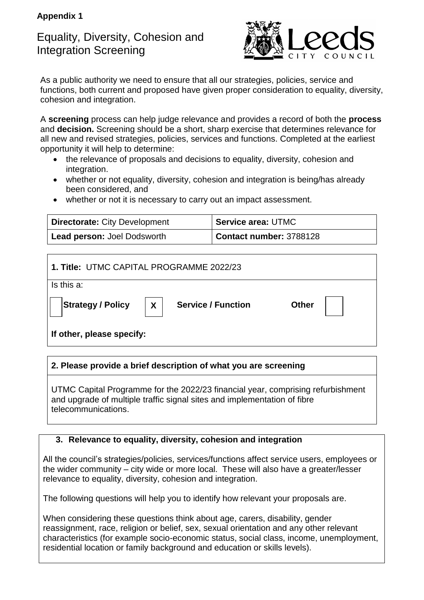# Equality, Diversity, Cohesion and Integration Screening



As a public authority we need to ensure that all our strategies, policies, service and functions, both current and proposed have given proper consideration to equality, diversity, cohesion and integration.

A **screening** process can help judge relevance and provides a record of both the **process** and **decision.** Screening should be a short, sharp exercise that determines relevance for all new and revised strategies, policies, services and functions. Completed at the earliest opportunity it will help to determine:

- the relevance of proposals and decisions to equality, diversity, cohesion and integration.
- whether or not equality, diversity, cohesion and integration is being/has already been considered, and
- whether or not it is necessary to carry out an impact assessment.

| <b>Directorate: City Development</b> | Service area: UTMC      |
|--------------------------------------|-------------------------|
| Lead person: Joel Dodsworth          | Contact number: 3788128 |

| 1. Title: UTMC CAPITAL PROGRAMME 2022/23 |                                           |              |  |
|------------------------------------------|-------------------------------------------|--------------|--|
| Is this a:                               |                                           |              |  |
| <b>Strategy / Policy</b>                 | $\mathbf{X}$<br><b>Service / Function</b> | <b>Other</b> |  |
| If other, please specify:                |                                           |              |  |

### **2. Please provide a brief description of what you are screening**

UTMC Capital Programme for the 2022/23 financial year, comprising refurbishment and upgrade of multiple traffic signal sites and implementation of fibre telecommunications.

# **3. Relevance to equality, diversity, cohesion and integration**

All the council's strategies/policies, services/functions affect service users, employees or the wider community – city wide or more local. These will also have a greater/lesser relevance to equality, diversity, cohesion and integration.

The following questions will help you to identify how relevant your proposals are.

When considering these questions think about age, carers, disability, gender reassignment, race, religion or belief, sex, sexual orientation and any other relevant characteristics (for example socio-economic status, social class, income, unemployment, residential location or family background and education or skills levels).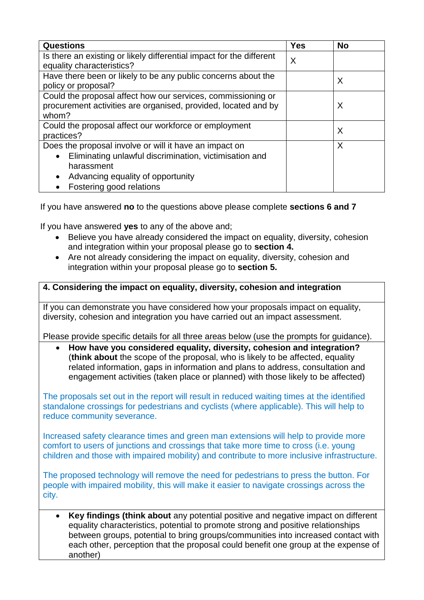| <b>Questions</b>                                                     | <b>Yes</b> | <b>No</b> |
|----------------------------------------------------------------------|------------|-----------|
| Is there an existing or likely differential impact for the different | X          |           |
| equality characteristics?                                            |            |           |
| Have there been or likely to be any public concerns about the        |            | X         |
| policy or proposal?                                                  |            |           |
| Could the proposal affect how our services, commissioning or         |            |           |
| procurement activities are organised, provided, located and by       |            | X         |
| whom?                                                                |            |           |
| Could the proposal affect our workforce or employment                |            | X         |
| practices?                                                           |            |           |
| Does the proposal involve or will it have an impact on               |            | X         |
| Eliminating unlawful discrimination, victimisation and<br>$\bullet$  |            |           |
| harassment                                                           |            |           |
| Advancing equality of opportunity<br>$\bullet$                       |            |           |
| Fostering good relations                                             |            |           |

If you have answered **no** to the questions above please complete **sections 6 and 7**

If you have answered **yes** to any of the above and;

- Believe you have already considered the impact on equality, diversity, cohesion and integration within your proposal please go to **section 4.**
- Are not already considering the impact on equality, diversity, cohesion and integration within your proposal please go to **section 5.**

## **4. Considering the impact on equality, diversity, cohesion and integration**

If you can demonstrate you have considered how your proposals impact on equality, diversity, cohesion and integration you have carried out an impact assessment.

Please provide specific details for all three areas below (use the prompts for guidance).

 **How have you considered equality, diversity, cohesion and integration?**  (**think about** the scope of the proposal, who is likely to be affected, equality related information, gaps in information and plans to address, consultation and engagement activities (taken place or planned) with those likely to be affected)

The proposals set out in the report will result in reduced waiting times at the identified standalone crossings for pedestrians and cyclists (where applicable). This will help to reduce community severance.

Increased safety clearance times and green man extensions will help to provide more comfort to users of junctions and crossings that take more time to cross (i.e. young children and those with impaired mobility) and contribute to more inclusive infrastructure.

The proposed technology will remove the need for pedestrians to press the button. For people with impaired mobility, this will make it easier to navigate crossings across the city.

 **Key findings (think about** any potential positive and negative impact on different equality characteristics, potential to promote strong and positive relationships between groups, potential to bring groups/communities into increased contact with each other, perception that the proposal could benefit one group at the expense of another)